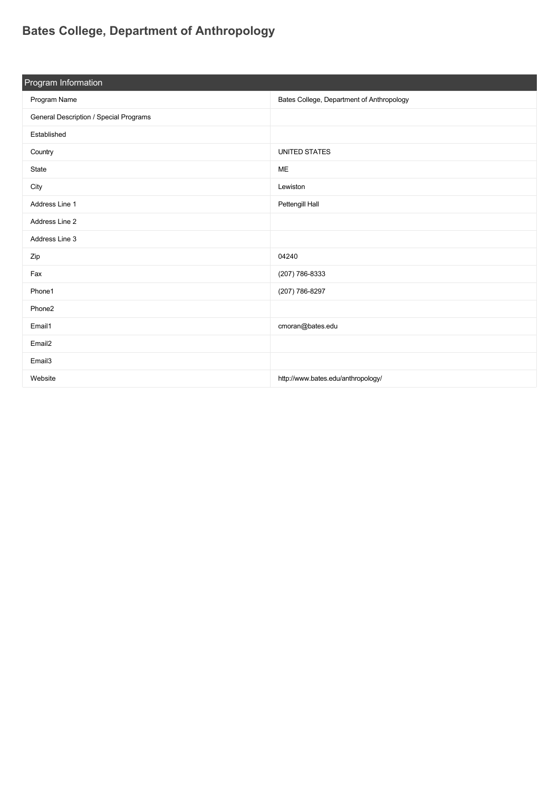## **[Bates College, Department of Anthropology](https://guide.americananthro.org/259/Bates-College-Department-of-Anthropology)**

| Program Information                    |                                           |  |  |
|----------------------------------------|-------------------------------------------|--|--|
| Program Name                           | Bates College, Department of Anthropology |  |  |
| General Description / Special Programs |                                           |  |  |
| Established                            |                                           |  |  |
| Country                                | <b>UNITED STATES</b>                      |  |  |
| State                                  | ME                                        |  |  |
| City                                   | Lewiston                                  |  |  |
| Address Line 1                         | Pettengill Hall                           |  |  |
| Address Line 2                         |                                           |  |  |
| Address Line 3                         |                                           |  |  |
| Zip                                    | 04240                                     |  |  |
| Fax                                    | (207) 786-8333                            |  |  |
| Phone1                                 | (207) 786-8297                            |  |  |
| Phone2                                 |                                           |  |  |
| Email1                                 | cmoran@bates.edu                          |  |  |
| Email <sub>2</sub>                     |                                           |  |  |
| Email <sub>3</sub>                     |                                           |  |  |
| Website                                | http://www.bates.edu/anthropology/        |  |  |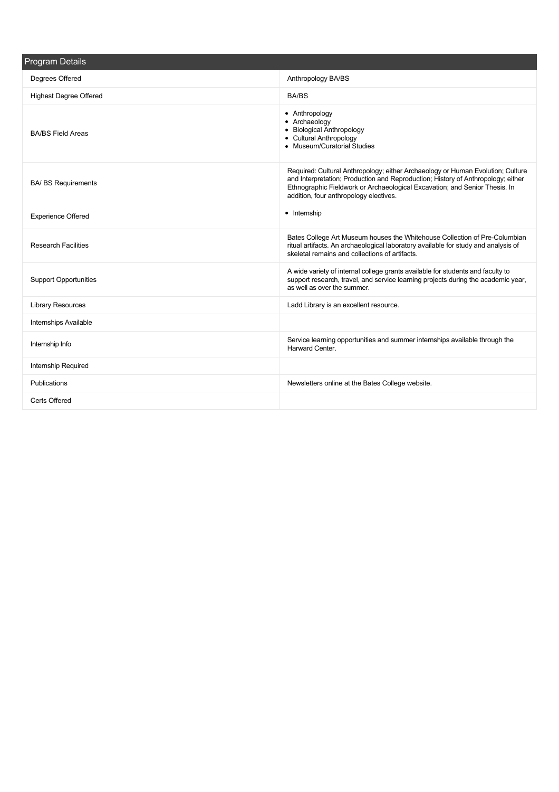| <b>Program Details</b>        |                                                                                                                                                                                                                                                                                             |  |  |
|-------------------------------|---------------------------------------------------------------------------------------------------------------------------------------------------------------------------------------------------------------------------------------------------------------------------------------------|--|--|
| Degrees Offered               | Anthropology BA/BS                                                                                                                                                                                                                                                                          |  |  |
| <b>Highest Degree Offered</b> | BA/BS                                                                                                                                                                                                                                                                                       |  |  |
| <b>BA/BS Field Areas</b>      | • Anthropology<br>• Archaeology<br>• Biological Anthropology<br>• Cultural Anthropology<br>• Museum/Curatorial Studies                                                                                                                                                                      |  |  |
| <b>BA/ BS Requirements</b>    | Required: Cultural Anthropology; either Archaeology or Human Evolution; Culture<br>and Interpretation; Production and Reproduction; History of Anthropology; either<br>Ethnographic Fieldwork or Archaeological Excavation; and Senior Thesis. In<br>addition, four anthropology electives. |  |  |
| <b>Experience Offered</b>     | • Internship                                                                                                                                                                                                                                                                                |  |  |
| <b>Research Facilities</b>    | Bates College Art Museum houses the Whitehouse Collection of Pre-Columbian<br>ritual artifacts. An archaeological laboratory available for study and analysis of<br>skeletal remains and collections of artifacts.                                                                          |  |  |
| <b>Support Opportunities</b>  | A wide variety of internal college grants available for students and faculty to<br>support research, travel, and service learning projects during the academic year,<br>as well as over the summer.                                                                                         |  |  |
| <b>Library Resources</b>      | Ladd Library is an excellent resource.                                                                                                                                                                                                                                                      |  |  |
| Internships Available         |                                                                                                                                                                                                                                                                                             |  |  |
| Internship Info               | Service learning opportunities and summer internships available through the<br>Harward Center.                                                                                                                                                                                              |  |  |
| Internship Required           |                                                                                                                                                                                                                                                                                             |  |  |
| Publications                  | Newsletters online at the Bates College website.                                                                                                                                                                                                                                            |  |  |
| Certs Offered                 |                                                                                                                                                                                                                                                                                             |  |  |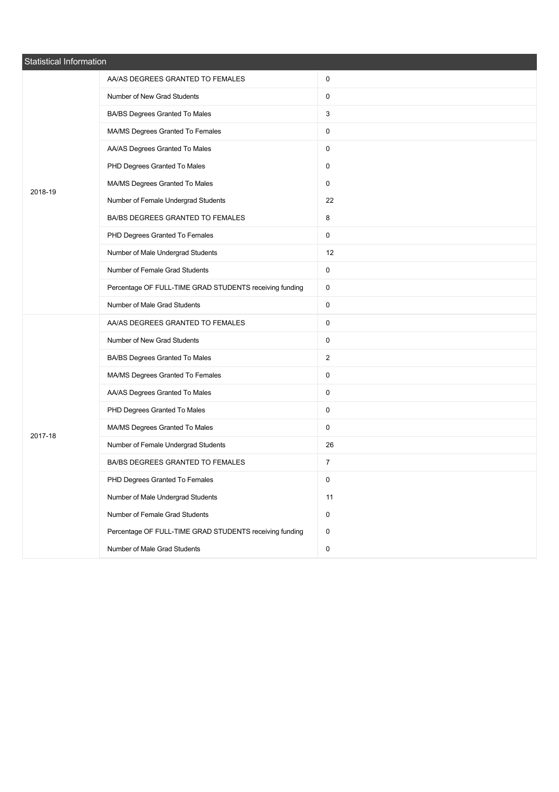| Statistical Information |                                                         |                |  |
|-------------------------|---------------------------------------------------------|----------------|--|
|                         | AA/AS DEGREES GRANTED TO FEMALES                        | 0              |  |
|                         | Number of New Grad Students                             | 0              |  |
|                         | BA/BS Degrees Granted To Males                          | 3              |  |
|                         | MA/MS Degrees Granted To Females                        | $\mathbf 0$    |  |
|                         | AA/AS Degrees Granted To Males                          | 0              |  |
|                         | PHD Degrees Granted To Males                            | $\mathbf 0$    |  |
| 2018-19                 | MA/MS Degrees Granted To Males                          | 0              |  |
|                         | Number of Female Undergrad Students                     | 22             |  |
|                         | BA/BS DEGREES GRANTED TO FEMALES                        | 8              |  |
|                         | PHD Degrees Granted To Females                          | 0              |  |
|                         | Number of Male Undergrad Students                       | 12             |  |
|                         | Number of Female Grad Students                          | $\mathbf 0$    |  |
|                         | Percentage OF FULL-TIME GRAD STUDENTS receiving funding | 0              |  |
|                         | Number of Male Grad Students                            | $\mathbf 0$    |  |
|                         | AA/AS DEGREES GRANTED TO FEMALES                        | 0              |  |
|                         | Number of New Grad Students                             | 0              |  |
|                         | BA/BS Degrees Granted To Males                          | $\overline{2}$ |  |
|                         | MA/MS Degrees Granted To Females                        | 0              |  |
|                         | AA/AS Degrees Granted To Males                          | $\mathbf 0$    |  |
|                         | PHD Degrees Granted To Males                            | 0              |  |
| 2017-18                 | MA/MS Degrees Granted To Males                          | 0              |  |
|                         | Number of Female Undergrad Students                     | 26             |  |
|                         | BA/BS DEGREES GRANTED TO FEMALES                        | $\overline{7}$ |  |
|                         | PHD Degrees Granted To Females                          | 0              |  |
|                         | Number of Male Undergrad Students                       | 11             |  |
|                         | Number of Female Grad Students                          | $\mathbf 0$    |  |
|                         | Percentage OF FULL-TIME GRAD STUDENTS receiving funding | $\mathbf 0$    |  |
|                         | Number of Male Grad Students                            | $\mathbf 0$    |  |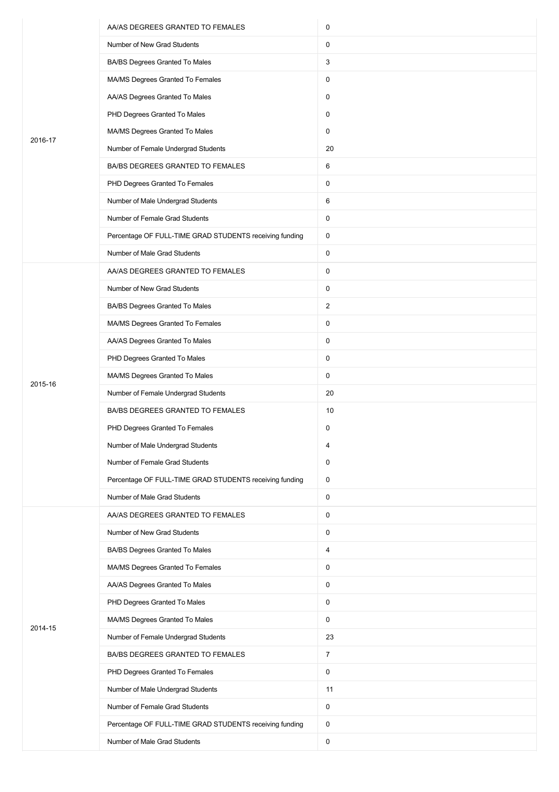|         | AA/AS DEGREES GRANTED TO FEMALES                        | 0              |
|---------|---------------------------------------------------------|----------------|
|         | Number of New Grad Students                             | 0              |
|         | BA/BS Degrees Granted To Males                          | 3              |
|         | MA/MS Degrees Granted To Females                        | 0              |
|         | AA/AS Degrees Granted To Males                          | 0              |
|         | PHD Degrees Granted To Males                            | 0              |
| 2016-17 | MA/MS Degrees Granted To Males                          | $\mathsf 0$    |
|         | Number of Female Undergrad Students                     | 20             |
|         | BA/BS DEGREES GRANTED TO FEMALES                        | 6              |
|         | PHD Degrees Granted To Females                          | $\mathsf 0$    |
|         | Number of Male Undergrad Students                       | 6              |
|         | Number of Female Grad Students                          | 0              |
|         | Percentage OF FULL-TIME GRAD STUDENTS receiving funding | $\mathsf 0$    |
|         | Number of Male Grad Students                            | 0              |
|         | AA/AS DEGREES GRANTED TO FEMALES                        | 0              |
|         | Number of New Grad Students                             | 0              |
|         | BA/BS Degrees Granted To Males                          | $\overline{2}$ |
|         | MA/MS Degrees Granted To Females                        | 0              |
|         | AA/AS Degrees Granted To Males                          | 0              |
|         | PHD Degrees Granted To Males                            | 0              |
|         | MA/MS Degrees Granted To Males                          | $\mathsf 0$    |
| 2015-16 | Number of Female Undergrad Students                     | 20             |
|         | BA/BS DEGREES GRANTED TO FEMALES                        | 10             |
|         | PHD Degrees Granted To Females                          | 0              |
|         | Number of Male Undergrad Students                       | 4              |
|         | Number of Female Grad Students                          | 0              |
|         | Percentage OF FULL-TIME GRAD STUDENTS receiving funding | $\mathsf 0$    |
|         | Number of Male Grad Students                            | $\mathsf 0$    |
|         | AA/AS DEGREES GRANTED TO FEMALES                        | $\mathsf 0$    |
|         | Number of New Grad Students                             | 0              |
|         | BA/BS Degrees Granted To Males                          | 4              |
|         | MA/MS Degrees Granted To Females                        | $\mathsf 0$    |
|         | AA/AS Degrees Granted To Males                          | $\mathsf 0$    |
|         | PHD Degrees Granted To Males                            | 0              |
|         | MA/MS Degrees Granted To Males                          | $\mathbf 0$    |
| 2014-15 | Number of Female Undergrad Students                     | 23             |
|         | BA/BS DEGREES GRANTED TO FEMALES                        | $\overline{7}$ |
|         | PHD Degrees Granted To Females                          | $\mathbf 0$    |
|         | Number of Male Undergrad Students                       | 11             |
|         | Number of Female Grad Students                          | 0              |
|         | Percentage OF FULL-TIME GRAD STUDENTS receiving funding | 0              |
|         | Number of Male Grad Students                            | $\mathsf 0$    |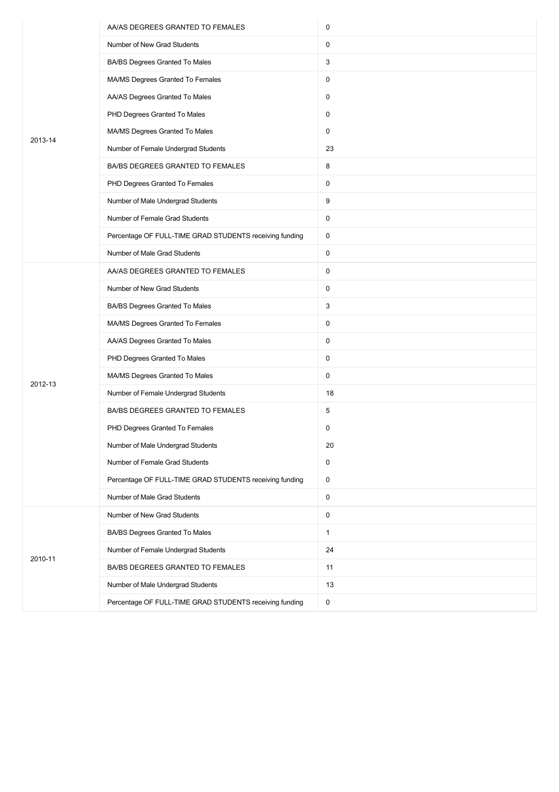|         | AA/AS DEGREES GRANTED TO FEMALES                        | 0            |
|---------|---------------------------------------------------------|--------------|
|         | Number of New Grad Students                             | 0            |
|         | BA/BS Degrees Granted To Males                          | 3            |
|         | MA/MS Degrees Granted To Females                        | 0            |
|         | AA/AS Degrees Granted To Males                          | 0            |
|         | PHD Degrees Granted To Males                            | 0            |
| 2013-14 | MA/MS Degrees Granted To Males                          | 0            |
|         | Number of Female Undergrad Students                     | 23           |
|         | BA/BS DEGREES GRANTED TO FEMALES                        | 8            |
|         | PHD Degrees Granted To Females                          | 0            |
|         | Number of Male Undergrad Students                       | 9            |
|         | Number of Female Grad Students                          | 0            |
|         | Percentage OF FULL-TIME GRAD STUDENTS receiving funding | 0            |
|         | Number of Male Grad Students                            | 0            |
|         | AA/AS DEGREES GRANTED TO FEMALES                        | $\pmb{0}$    |
|         | Number of New Grad Students                             | 0            |
|         | BA/BS Degrees Granted To Males                          | 3            |
|         | MA/MS Degrees Granted To Females                        | 0            |
|         | AA/AS Degrees Granted To Males                          | 0            |
|         | PHD Degrees Granted To Males                            | 0            |
| 2012-13 | MA/MS Degrees Granted To Males                          | 0            |
|         | Number of Female Undergrad Students                     | 18           |
|         | BA/BS DEGREES GRANTED TO FEMALES                        | 5            |
|         | PHD Degrees Granted To Females                          | 0            |
|         | Number of Male Undergrad Students                       | 20           |
|         | Number of Female Grad Students                          | 0            |
|         | Percentage OF FULL-TIME GRAD STUDENTS receiving funding | 0            |
|         | Number of Male Grad Students                            | 0            |
|         | Number of New Grad Students                             | 0            |
|         | BA/BS Degrees Granted To Males                          | $\mathbf{1}$ |
|         | Number of Female Undergrad Students                     | 24           |
| 2010-11 | BA/BS DEGREES GRANTED TO FEMALES                        | 11           |
|         | Number of Male Undergrad Students                       | 13           |
|         | Percentage OF FULL-TIME GRAD STUDENTS receiving funding | 0            |